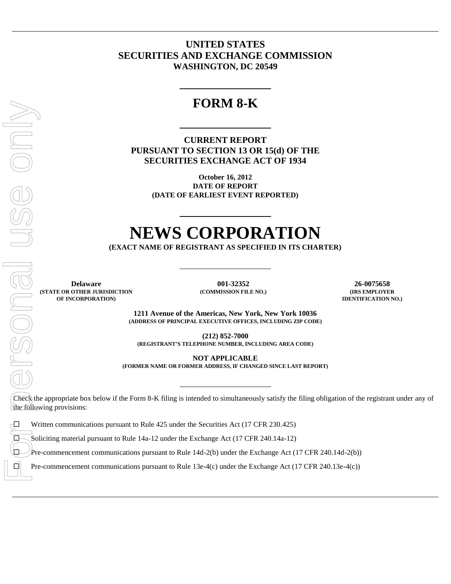### **UNITED STATES SECURITIES AND EXCHANGE COMMISSION WASHINGTON, DC 20549**

## **FORM 8-K**

**CURRENT REPORT PURSUANT TO SECTION 13 OR 15(d) OF THE SECURITIES EXCHANGE ACT OF 1934**

> **October 16, 2012 DATE OF REPORT (DATE OF EARLIEST EVENT REPORTED)**

# **NEWS CORPORATION**

**(EXACT NAME OF REGISTRANT AS SPECIFIED IN ITS CHARTER)**

**Delaware 001-32352 26-0075658 (STATE OR OTHER JURISDICTION OF INCORPORATION)**

**(COMMISSION FILE NO.) (IRS EMPLOYER**

**IDENTIFICATION NO.)**

**1211 Avenue of the Americas, New York, New York 10036 (ADDRESS OF PRINCIPAL EXECUTIVE OFFICES, INCLUDING ZIP CODE)**

**(212) 852-7000 (REGISTRANT'S TELEPHONE NUMBER, INCLUDING AREA CODE)**

**NOT APPLICABLE**

**(FORMER NAME OR FORMER ADDRESS, IF CHANGED SINCE LAST REPORT)**

Check the appropriate box below if the Form 8-K filing is intended to simultaneously satisfy the filing obligation of the registrant under any of the following provisions:

**Written communications pursuant to Rule 425 under the Securities Act (17 CFR 230.425)** 

Soliciting material pursuant to Rule 14a-12 under the Exchange Act (17 CFR 240.14a-12)

 $\Box$  Pre-commencement communications pursuant to Rule 14d-2(b) under the Exchange Act (17 CFR 240.14d-2(b))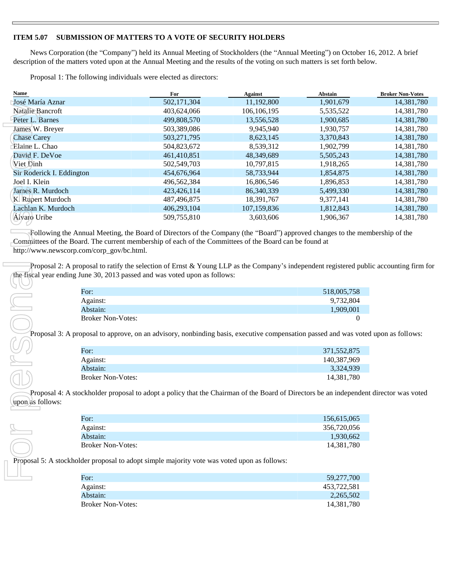### **ITEM 5.07 SUBMISSION OF MATTERS TO A VOTE OF SECURITY HOLDERS**

News Corporation (the "Company") held its Annual Meeting of Stockholders (the "Annual Meeting") on October 16, 2012. A brief description of the matters voted upon at the Annual Meeting and the results of the voting on such matters is set forth below.

Proposal 1: The following individuals were elected as directors:

Е

| Name                                      |                          | For                                                                                         | <b>Against</b>                                                                                                                                                                                                                                   | Abstain     | <b>Broker Non-Votes</b> |
|-------------------------------------------|--------------------------|---------------------------------------------------------------------------------------------|--------------------------------------------------------------------------------------------------------------------------------------------------------------------------------------------------------------------------------------------------|-------------|-------------------------|
| José María Aznar                          |                          | 502,171,304                                                                                 | 11,192,800                                                                                                                                                                                                                                       | 1,901,679   | 14,381,780              |
| Natalie Bancroft                          |                          | 403,624,066                                                                                 | 106,106,195                                                                                                                                                                                                                                      | 5,535,522   | 14,381,780              |
| Peter L. Barnes                           |                          | 499,808,570                                                                                 | 13,556,528                                                                                                                                                                                                                                       | 1,900,685   | 14,381,780              |
| James W. Breyer                           |                          | 503,389,086                                                                                 | 9,945,940                                                                                                                                                                                                                                        | 1,930,757   | 14,381,780              |
| <b>Chase Carey</b>                        |                          | 503,271,795                                                                                 | 8,623,145                                                                                                                                                                                                                                        | 3,370,843   | 14,381,780              |
| Elaine L. Chao                            |                          | 504,823,672                                                                                 | 8,539,312                                                                                                                                                                                                                                        | 1,902,799   | 14,381,780              |
| David F. DeVoe                            |                          | 461,410,851                                                                                 | 48,349,689                                                                                                                                                                                                                                       | 5,505,243   | 14,381,780              |
| Viet Dinh                                 |                          | 502,549,703                                                                                 | 10,797,815                                                                                                                                                                                                                                       | 1,918,265   | 14,381,780              |
| Sir Roderick I. Eddington                 |                          | 454,676,964                                                                                 | 58,733,944                                                                                                                                                                                                                                       | 1,854,875   | 14,381,780              |
| Joel I. Klein                             |                          | 496,562,384                                                                                 | 16,806,546                                                                                                                                                                                                                                       | 1,896,853   | 14,381,780              |
| James R. Murdoch                          |                          | 423,426,114                                                                                 | 86,340,339                                                                                                                                                                                                                                       | 5,499,330   | 14,381,780              |
| K. Rupert Murdoch                         |                          | 487,496,875                                                                                 | 18,391,767                                                                                                                                                                                                                                       | 9,377,141   | 14,381,780              |
| Lachlan K. Murdoch                        |                          | 406,293,104                                                                                 | 107,159,836                                                                                                                                                                                                                                      | 1,812,843   | 14,381,780              |
| Álvaro Uribe                              |                          | 509,755,810                                                                                 | 3,603,606                                                                                                                                                                                                                                        | 1,906,367   | 14,381,780              |
| http://www.newscorp.com/corp_gov/bc.html. |                          | the fiscal year ending June 30, 2013 passed and was voted upon as follows:                  | Committees of the Board. The current membership of each of the Committees of the Board can be found at<br>Proposal 2: A proposal to ratify the selection of Ernst & Young LLP as the Company's independent registered public accounting firm for |             |                         |
|                                           | For:                     |                                                                                             |                                                                                                                                                                                                                                                  | 518,005,758 |                         |
|                                           | Against:                 |                                                                                             |                                                                                                                                                                                                                                                  | 9,732,804   |                         |
|                                           | Abstain:                 |                                                                                             |                                                                                                                                                                                                                                                  | 1,909,001   |                         |
|                                           | <b>Broker Non-Votes:</b> |                                                                                             |                                                                                                                                                                                                                                                  | 0           |                         |
|                                           |                          |                                                                                             |                                                                                                                                                                                                                                                  |             |                         |
|                                           |                          |                                                                                             | Proposal 3: A proposal to approve, on an advisory, nonbinding basis, executive compensation passed and was voted upon as follows:                                                                                                                |             |                         |
|                                           | For:                     |                                                                                             |                                                                                                                                                                                                                                                  | 371,552,875 |                         |
|                                           | Against:                 |                                                                                             |                                                                                                                                                                                                                                                  | 140,387,969 |                         |
|                                           | Abstain:                 |                                                                                             |                                                                                                                                                                                                                                                  | 3,324,939   |                         |
|                                           | <b>Broker Non-Votes:</b> |                                                                                             |                                                                                                                                                                                                                                                  | 14,381,780  |                         |
| upon) as follows:                         |                          |                                                                                             | Proposal 4: A stockholder proposal to adopt a policy that the Chairman of the Board of Directors be an independent director was voted                                                                                                            |             |                         |
|                                           | For:                     |                                                                                             |                                                                                                                                                                                                                                                  | 156,615,065 |                         |
|                                           | Against:                 |                                                                                             |                                                                                                                                                                                                                                                  | 356,720,056 |                         |
|                                           | Abstain:                 |                                                                                             |                                                                                                                                                                                                                                                  | 1,930,662   |                         |
|                                           | <b>Broker Non-Votes:</b> |                                                                                             |                                                                                                                                                                                                                                                  | 14,381,780  |                         |
|                                           |                          | Proposal 5: A stockholder proposal to adopt simple majority vote was voted upon as follows: |                                                                                                                                                                                                                                                  |             |                         |
|                                           |                          |                                                                                             |                                                                                                                                                                                                                                                  |             |                         |
|                                           | For:                     |                                                                                             |                                                                                                                                                                                                                                                  | 59.277.700  |                         |

| For:                     | 518,005,758 |
|--------------------------|-------------|
| Against:                 | 9,732,804   |
| Abstain:                 | 1,909,001   |
| <b>Broker Non-Votes:</b> |             |

| For:                     | 371,552,875 |
|--------------------------|-------------|
| Against:                 | 140.387.969 |
| Abstain:                 | 3,324,939   |
| <b>Broker Non-Votes:</b> | 14.381.780  |

| For:                     | 156,615,065 |
|--------------------------|-------------|
| Against:                 | 356,720,056 |
| Abstain:                 | 1,930,662   |
| <b>Broker Non-Votes:</b> | 14,381,780  |

| For:                     | 59,277,700  |
|--------------------------|-------------|
| Against:                 | 453,722,581 |
| Abstain:                 | 2,265,502   |
| <b>Broker Non-Votes:</b> | 14,381,780  |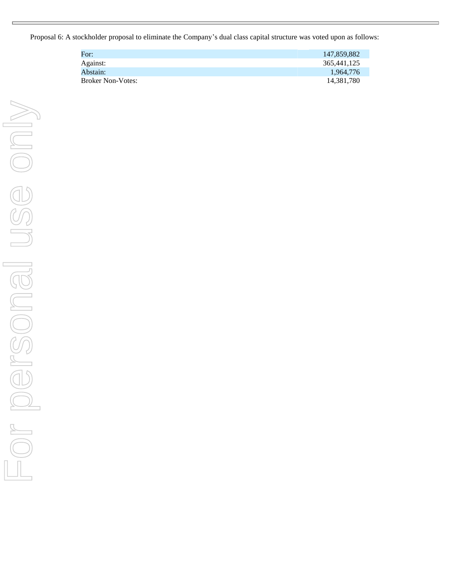Proposal 6: A stockholder proposal to eliminate the Company's dual class capital structure was voted upon as follows:

| For:                     | 147,859,882 |
|--------------------------|-------------|
| Against:                 | 365,441,125 |
| Abstain:                 | 1,964,776   |
| <b>Broker Non-Votes:</b> | 14,381,780  |